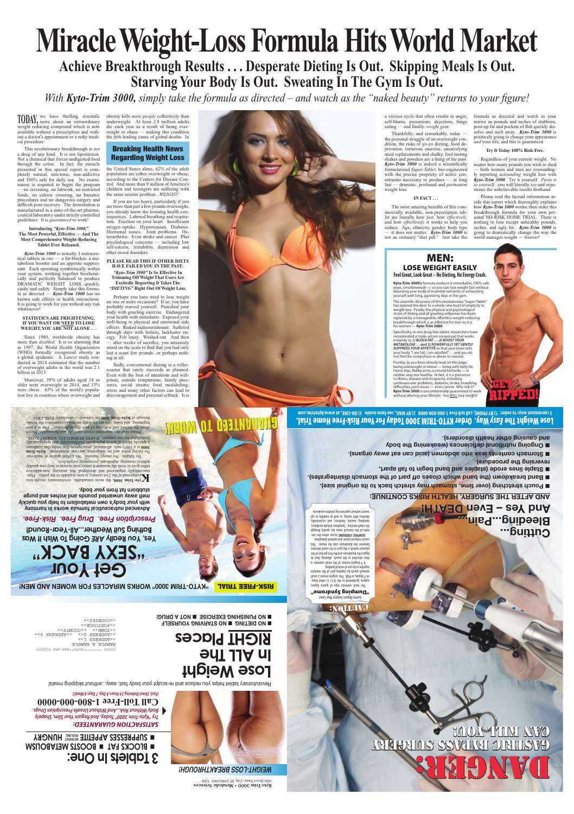## **WEIGHT-LOSS BREAKTHROUGH!**



## **Lose Weight In ALL The RIGHT Places**

**EXAMPLE TRANSMING YOURSELF EXERCISE IN A DRUGE** 

> **Metabolic Sciences** • **Kyto-Trim 3000**  1000 Street Name, City, ST 10000-0000 USA

## *SATISFACTION GUARANTEED: Try "Kyto-Trim 3000" Today, And Regain Your Slim, Shapely Body Without Risk...And Without Unsafe Prescription Drugs.* **Call Toll-Free 1-800-000-0000**

*(Fast, Direct Ordering 24 Hours A Day, 7 Days A Week!)*

DANGER:

CAN KING AOOM

**Cutting... Cutting...**

**Bleeding...Pain... Bleeding...Pain...**

## **And Yes – Even DEATH! And Yes – Even DEATH! : AND AFTER THE SURGERY, HEALTH RISKS CONTINUE**

**E Pouch stretching (over time, stomach may stretch back to its original size).** 

**Band breakdown (the band which closes off part of the stomach disintegrates).** 

 **Staple lines erode (staples and band begin to fall apart, reversing the procedure).**

 **Ongoing nutritional deficiences (weakening the body and causing other health disorders).**

Ao fatigue. No energy burnout. No listless apathent or wash-out. Kyto-Trim and no dangerous, and no pulse pulse and non-Trim is a 100% safe, all-natural, prescription-free tablet that combines **3000** a specific blend of active ingredients biochemically and synergistically formulated for one purpose...RAPID, EFFORTLESS WEIGHT LOSS.

## **ENOITUDA:**

Revolutionary tablet helps you reduce and re-sculpt your body fast, easy...without skipping meals!

**Achieve Breakthrough Results . . . Desperate Dieting Is Out. Skipping Meals Is Out.** Starving Your Body Is Out. Sweating In The Gym Is Out.

**Advanced nutraceutical formula works in harmony** with your body's own metabolism to help you quickly **melt away unwanted pounds and inches and purge stubborn fat from your body.**

**K<sup>to-</sup>Trim 3000, the most remarkable, repolutionary weight-loss color** *sto-Trim 3000***, only and**  $\alpha$  **is**  $\alpha$  **is**  $\alpha$  **is**  $\alpha$  **is**  $\alpha$  **is**  $\alpha$  **is**  $\alpha$  **is**  $\alpha$  **is**  $\alpha$  **is**  $\alpha$  **is**  $\alpha$  **is**  $\alpha$  **is**  $\alpha$  **is**  $\alpha$  **is**  $\alpha$  **is \alpha** maceutically engineered and developed, this amazing, non-addictive tablet goes to work the moment it enters your system of help you quickly achieve stunning, significant, permanent weight-loss.

**"KYTO-TRIM 3000" WORKS MIRACLES FOR WOMEN AND MEN!** RISK-FREE TRIAL

# **Miracle Weight-Loss Formula Hits World Market**

*With Kyto-Trim 3000, simply take the formula as directed – and watch as the "naked beauty" returns to your figure!*

obesity kills *more people* collectively than underweight. At least 2.8 million adults die each year as a result of being overweight or obese — making this condition the *fifth* leading cause of global deaths. In

we have thrilling scientific **TODAY**, news about an extraordinary weight reducing compound which is now available without a prescription and without a doctor's appointment or a risky medical procedure.

# **Get Your Get Your "SEXY BACK"**

000000 AAA AAA\*\*OTUA\*\*\*\*\*\*\*\*\* 00000

**Example 20 Yes, You Really State State It Was Bathing Suit Weather...All-Year-Round!**

This revolutionary breakthrough is *not* a drug of any kind. It is not liposuction. Not a chemical that forces undigested food through the colon. In fact, the miracle presented in this special report is completely natural, non-toxic, non-addictive and 100% safe for daily use. No examination is required to begin the program — no screening, no labwork, no restricted foods, no calorie counting, no bariatric procedures and no dangerous surgery and difficult post-recovery. The formulation is manufactured in a state-of-the-art pharmaceutical laboratory under strictly controlled guidelines. It is *guaranteed* to work!

#### **Introducing** *"Kyto-Trim 3000,"* **The Most Powerful, Effective — And The Most Comprehensive Weight-Reducing Tablet Ever Released.**

*Kyto-Trim 3000* is actually 3 nutraceutical tablets in *one* — a fat-blocker, a metabolism booster and an appetite suppressant. Each operating symbiotically within your system, working together biochemically and perfectly balanced to produce DRAMATIC WEIGHT LOSS...quickly, easily and safely. Simply take this formula as directed — *Kyto-Trim 3000* has no known side effects or health interactions. It is going to work for you without any risk whatsoever!

#### **STATISTICS ARE FRIGHTENING. IF YOU WANT OR NEED TO LOSE WEIGHT, YOU ARE NOT ALONE . . .**

Since 1980, worldwide obesity has more than *doubled.* It is so alarming that in 1997, the World Health Organization (WHO) formally recognized obesity as a global epidemic. A *Lancet* study conducted in 2014 estimated that the number of overweight adults in the world was 2.1 billion in 2013.

Moreover, 39% of adults aged 18 or older were overweight in 2014, and 13% were obese. 65% of the world's population live in countries where overweight and

GUARANTEED TO WORK! GUARANTEED TO WORK!

Gastric Bypass Surgery May Cause "**awo.pu**ńg buidwng The most common type of gastric bypass

surgery (performed in the U.S.) is called Rouxen-Y bypass, or RGB. This surgery creates a small stomach pouch by stapling part of the stomach together or by use of vertical banding. Y-shaped section of the small intestine is A then attached to the pouch, allowing to the poor to the posts bypass the duodenum and the first portion of the jejunum (which is the part of the small intestine

Frankly, as you have already read on this page, being overweight or obese — living with belly fat, heavy legs, flabby arms, a rotund buttocks — is neither sexy nor healthy. In fact, it is a precursor to illness, disease and incapacity, including cardiovascular problems, diabetes, stroke, breathing difficulties, joint issues — even cancer. Why risk it? **Kyto-Trim 3000** is unconditionally guaranteed to work wout altering your lifestyle. You *WILL* lose weight!

between the duodenum and the ileum). This causes reduced calorie and nutrient absorption. DUMPING SYNDROME occurs when the contents of the stomach move too quickly through the small intestine. Symptoms include weakness, sweating, nausea, faintness, and occasionally, diarrhea after eating, as well an inability to eat sweets without experiencing extreme weakness.

Lose Weight The *Easy* Way. Order KYTO-TRIM 3000 Today For Your Risk-Free Home Trial. **3 convenient ways to order: 1) BY PHONE, call toll-free 1-800-000-0000 2) BY MAIL, see form inside 3) ON-LINE, at www.kytotrim.com**

Please read this important report carefully and thoroughly. Forget about the torture and surfering of past diet nightmares. If  $\mu$  is a new beginning, and today, you are cordially invited to experience the breakthrough of Kyto-Trim 3000 for yourself — absolutely RISK-FREE.

## **3 Tablets In One: E BIOCKS FAT <b>E BOOSTS METABOLISM EQUERESSES APPETITE FEELING HUNGRY**



## Regarding Weight Loss

## *Prescription Free. Drug Free. Risk-Free.*

the United States alone, 62% of the adult population are either overweight or obese, according to the Centers for Disease Control. And more than 9 million of America's children and teenagers are suffering with the same serious problem...*WEIGHT!*

If you are too heavy, particularly if you are more than just a few pounds overweight, you already know the looming health consequences. Labored breathing and respiration. Exertion on your heart. Insufficient oxygen uptake. Hypertension. Diabetes. Hormonal issues. Joint problems. Osteoarthritis. Even stroke and cancer. Plus psychological concerns — including low self-esteem, irritability, depression and other mood disorders.

#### **PLEASE READ THIS IF OTHER DIETS HAVE FAILED YOU IN THE PAST:** *"Kyto-Trim 3000"* **Is So Effective In Trimming Off Weight That Users Are Excitedly Reporting It Takes The** *"DIETING"* **Right Out Of Weight Loss.**

Perhaps you have tried to lose weight on one or more occasions? If so, you have probably starved yourself. Punished your body with grueling exercise. Endangered your health with stimulants. Exposed your well-being to physical and emotional side effects. Risked malnourishment. Suffered through days with listless, lackluster energy. Felt lousy. Washed-out. And then — after weeks of sacrifice, you anxiously stood on the scale to find that you had only lost a scant few pounds...or perhaps nothing at all.

Sadly, conventional dieting is a rollercoaster that rarely succeeds as planned. Even with the best of intentions and willpower, outside temptations, family pressures, social strains, food mislabeling, stress and many other factors can lead to discouragement and personal setback. It is a vicious cycle that often results in anger, self-blame, pessimism, dejection, binge eating — and finally, *weight gain.*

Thankfully, and remarkably, today the personal struggle of an overweight condition, the risks of yo-yo dieting, food deprivation, torturous exercise, unsatisfying meal replacements and chalky, foul-tasting shakes and powders are a thing of the past. *Kyto-Trim 3000* is indeed a scientifically formularized *Super-Tablet,* bio-engineered with the precise propriety of active constituents necessary to produce — at long last — dramatic, profound and *permanent* weight loss.

### **IN FACT . . .**

The most amazing benefits of this commercially available, non-prescription tablet are literally how *fast,* how *effectively,* and how *effortlessly* it works to help you reduce. Age, ethnicity, gender, body type — it does not matter. *Kyto-Trim 3000* is not an ordinary "diet pill." Just take the formula as directed and watch in your mirror as pounds and inches of stubborn, pent-up fat and pockets of flab quickly dissolve and melt away. *Kyto-Trim 3000* is positively going to change your appearance *and* your life, and this is guaranteed.

### **Try It Today 100% Risk-Free.**

Regardless of your current weight. No matter how many pounds you wish to shed — both women and men are resoundingly reporting *astounding* weight loss with *Kyto-Trim 3000*. Try it yourself. *Prove it to yourself...*you will literally *see* and experience the unbelievable results firsthand.

Please read the factual information inside this report which thoroughly explains how *Kyto-Trim 3000* works, then order this breakthrough formula for your own personal NO-RISK HOME TRIAL. There is nothing to lose except unhealthy pounds, inches, and ugly fat. *Kyto-Trim 3000* is going to dramatically change the way the world manages weight — forever!

## MEN: LOSE WEIGHT EASILY **Feel Great, Look Great – No Dieting, No Energy Crash.**

**Kyto-Trim 3000's** formula works in 3 remarkable, 100% safe ways, *simultaneously* — so you can lose weight fast without depriving your body of essential nutrients or exhausting yourself with long, agonizing days in the gym.

The scientific discovery of this revolutionary "Super-Tablet" has opened the door to a whole new level of *simplicity* in weight loss. Finally, the physical and psychological strain of *dieting* and of grueling willpower has been replaced by a manageable, effortless weight-reducing breakthrough which is as effective for men as it is for women — **Kyto-Trim 3000**.

Specifically, in one drug-free tablet, researchers have incorporated a triple-action compound that works instantly to *1) BLOCK FAT . . . 2) BOOST YOUR METABOLISM . . . and 3) POWERFULLY YET GENTLY SUPPRESS YOUR APPETITE* so that your brain tells your body, "I am full, I am satisfied" . . . and you do not feel the compulsion or desire to overeat.

GET

RIPPED!

GVALIFIC BANTES ZABERIKA

**Example contents leak into abdomen (acid can eat away organs).** 

SAMPLE A SAMPLE <<ADDRESS 1>>

<<ADDRESS 2>> <<ADDRESS 3>>

<<TOWN>> <<COUNTY>>

<<POSTCODE>> <<COUNTRY>>